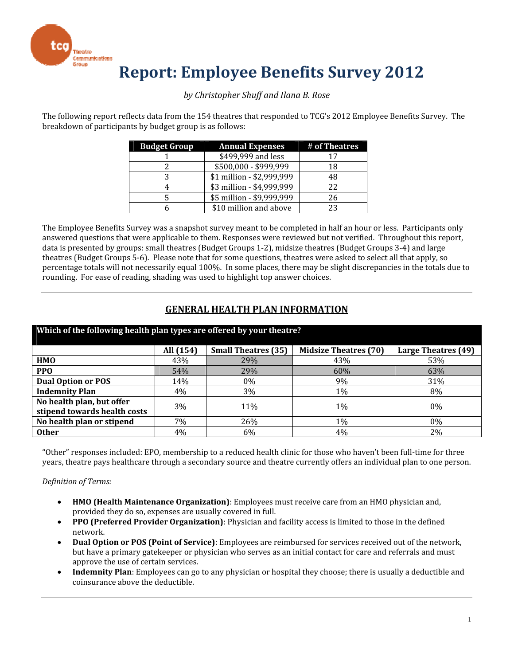

## **Report: Employee Benefits Survey 2012**

#### *by Christopher Shuff and Ilana B. Rose*

The following report reflects data from the 154 theatres that responded to TCG's 2012 Employee Benefits Survey. The breakdown of participants by budget group is as follows:

| <b>Budget Group</b> | <b>Annual Expenses</b>    | # of Theatres |
|---------------------|---------------------------|---------------|
|                     | \$499,999 and less        | 17            |
|                     | \$500,000 - \$999,999     | 18            |
|                     | \$1 million - \$2,999,999 | 48            |
|                     | \$3 million - \$4,999,999 | 22            |
|                     | \$5 million - \$9,999,999 | 26            |
|                     | \$10 million and above    | 23            |

The Employee Benefits Survey was a snapshot survey meant to be completed in half an hour or less. Participants only answered questions that were applicable to them. Responses were reviewed but not verified. Throughout this report, data is presented by groups: small theatres (Budget Groups 1‐2), midsize theatres (Budget Groups 3‐4) and large theatres (Budget Groups 5‐6). Please note that for some questions, theatres were asked to select all that apply, so percentage totals will not necessarily equal 100%. In some places, there may be slight discrepancies in the totals due to rounding. For ease of reading, shading was used to highlight top answer choices.

#### **GENERAL HEALTH PLAN INFORMATION**

| Which of the following health plan types are offered by your theatre? |                                                                                                |     |     |       |  |  |  |  |  |  |
|-----------------------------------------------------------------------|------------------------------------------------------------------------------------------------|-----|-----|-------|--|--|--|--|--|--|
|                                                                       | <b>Midsize Theatres (70)</b><br><b>Small Theatres (35)</b><br>All (154)<br>Large Theatres (49) |     |     |       |  |  |  |  |  |  |
| <b>HMO</b>                                                            | 43%                                                                                            | 29% | 43% | 53%   |  |  |  |  |  |  |
| <b>PPO</b>                                                            | 54%                                                                                            | 29% | 60% | 63%   |  |  |  |  |  |  |
| <b>Dual Option or POS</b>                                             | 14%                                                                                            | 0%  | 9%  | 31%   |  |  |  |  |  |  |
| <b>Indemnity Plan</b>                                                 | 4%                                                                                             | 3%  | 1%  | 8%    |  |  |  |  |  |  |
| No health plan, but offer                                             | 3%<br>11%<br>0%<br>$1\%$                                                                       |     |     |       |  |  |  |  |  |  |
| stipend towards health costs                                          |                                                                                                |     |     |       |  |  |  |  |  |  |
| No health plan or stipend                                             | 7%                                                                                             | 26% | 1%  | $0\%$ |  |  |  |  |  |  |
| <b>Other</b>                                                          | $4\%$                                                                                          | 6%  | 4%  | 2%    |  |  |  |  |  |  |

"Other" responses included: EPO, membership to a reduced health clinic for those who haven't been full‐time for three years, theatre pays healthcare through a secondary source and theatre currently offers an individual plan to one person.

#### *Definition of Terms:*

- **HMO (Health Maintenance Organization)**: Employees must receive care from an HMO physician and, provided they do so, expenses are usually covered in full.
- **PPO (Preferred Provider Organization)**: Physician and facility access is limited to those in the defined network.
- **Dual Option or POS (Point of Service)**: Employees are reimbursed for services received out of the network, but have a primary gatekeeper or physician who serves as an initial contact for care and referrals and must approve the use of certain services.
- **Indemnity Plan**: Employees can go to any physician or hospital they choose; there is usually a deductible and coinsurance above the deductible.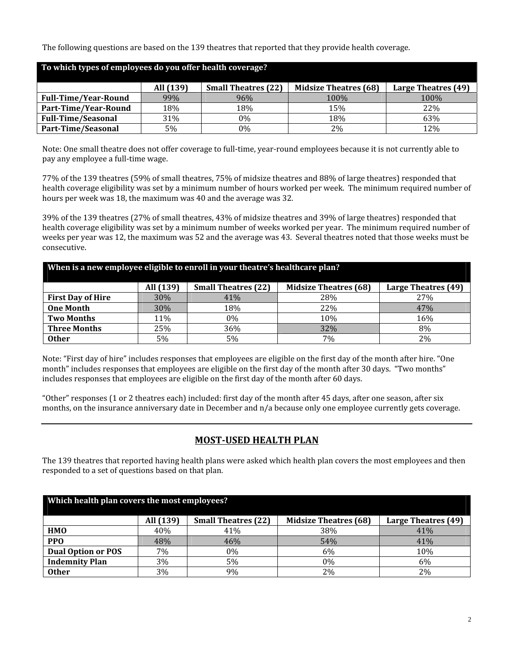The following questions are based on the 139 theatres that reported that they provide health coverage.

| To which types of employees do you offer health coverage? |           |                            |                              |                     |  |  |
|-----------------------------------------------------------|-----------|----------------------------|------------------------------|---------------------|--|--|
|                                                           | All (139) | <b>Small Theatres (22)</b> | <b>Midsize Theatres (68)</b> | Large Theatres (49) |  |  |
| <b>Full-Time/Year-Round</b>                               | 99%       | 96%                        | $100\%$                      | 100\%               |  |  |
| Part-Time/Year-Round                                      | 18%       | 18%                        | 15%                          | 22%                 |  |  |
| <b>Full-Time/Seasonal</b>                                 | 31%       | 0%                         | 18%                          | 63%                 |  |  |
| Part-Time/Seasonal                                        | 5%        | 0%                         | 2%                           | 12%                 |  |  |

Note: One small theatre does not offer coverage to full-time, year-round employees because it is not currently able to pay any employee a full‐time wage.

77% of the 139 theatres (59% of small theatres, 75% of midsize theatres and 88% of large theatres) responded that health coverage eligibility was set by a minimum number of hours worked per week. The minimum required number of hours per week was 18, the maximum was 40 and the average was 32.

39% of the 139 theatres (27% of small theatres, 43% of midsize theatres and 39% of large theatres) responded that health coverage eligibility was set by a minimum number of weeks worked per year. The minimum required number of weeks per year was 12, the maximum was 52 and the average was 43. Several theatres noted that those weeks must be consecutive.

| When is a new employee eligible to enroll in your theatre's healthcare plan? |           |                            |                              |                     |  |  |
|------------------------------------------------------------------------------|-----------|----------------------------|------------------------------|---------------------|--|--|
|                                                                              | All (139) | <b>Small Theatres (22)</b> | <b>Midsize Theatres (68)</b> | Large Theatres (49) |  |  |
| <b>First Day of Hire</b>                                                     | 30%       | 41%                        | 28%                          | 27%                 |  |  |
| <b>One Month</b>                                                             | 30%       | 18%                        | 22%                          | 47%                 |  |  |
| <b>Two Months</b>                                                            | 11%       | 0%                         | 10%                          | 16%                 |  |  |
| <b>Three Months</b>                                                          | 25%       | 36%                        | 32%                          | 8%                  |  |  |
| <b>Other</b>                                                                 | 5%        | 5%                         | 7%                           | 2%                  |  |  |

Note: "First day of hire" includes responses that employees are eligible on the first day of the month after hire. "One month" includes responses that employees are eligible on the first day of the month after 30 days. "Two months" includes responses that employees are eligible on the first day of the month after 60 days.

"Other" responses (1 or 2 theatres each) included: first day of the month after 45 days, after one season, after six months, on the insurance anniversary date in December and n/a because only one employee currently gets coverage.

## **MOST‐USED HEALTH PLAN**

The 139 theatres that reported having health plans were asked which health plan covers the most employees and then responded to a set of questions based on that plan.

| Which health plan covers the most employees? |           |                            |                              |                     |  |  |
|----------------------------------------------|-----------|----------------------------|------------------------------|---------------------|--|--|
|                                              | All (139) | <b>Small Theatres (22)</b> | <b>Midsize Theatres (68)</b> | Large Theatres (49) |  |  |
| <b>HMO</b>                                   | 40%       | 41%                        | 38%                          | 41%                 |  |  |
| <b>PPO</b>                                   | 48%       | 46%                        | 54%                          | 41%                 |  |  |
| <b>Dual Option or POS</b>                    | 7%        | $0\%$                      | 6%                           | 10%                 |  |  |
| <b>Indemnity Plan</b>                        | 3%        | 5%                         | 0%                           | 6%                  |  |  |
| <b>Other</b>                                 | 3%        | 9%                         | 2%                           | 2%                  |  |  |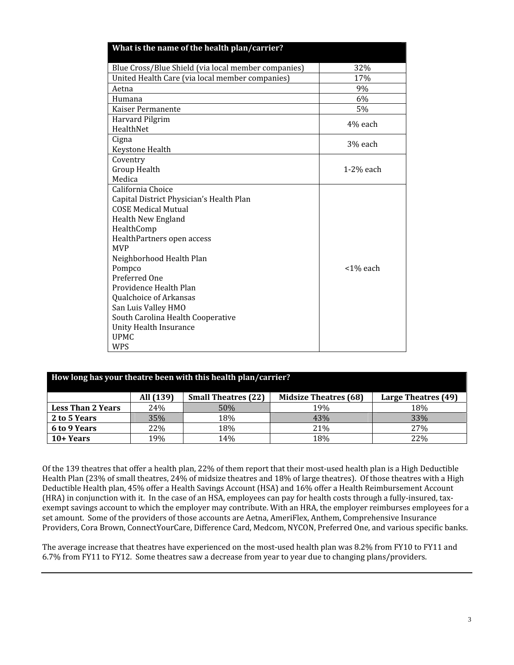| What is the name of the health plan/carrier?        |             |
|-----------------------------------------------------|-------------|
| Blue Cross/Blue Shield (via local member companies) | 32%         |
| United Health Care (via local member companies)     | 17%         |
| Aetna                                               | 9%          |
| Humana                                              | 6%          |
| Kaiser Permanente                                   | 5%          |
| Harvard Pilgrim                                     | 4% each     |
| HealthNet                                           |             |
| Cigna                                               | 3% each     |
| Keystone Health                                     |             |
| Coventry                                            |             |
| Group Health                                        | $1-2%$ each |
| Medica                                              |             |
| California Choice                                   |             |
| Capital District Physician's Health Plan            |             |
| <b>COSE Medical Mutual</b>                          |             |
| Health New England                                  |             |
| HealthComp                                          |             |
| HealthPartners open access                          |             |
| <b>MVP</b>                                          |             |
| Neighborhood Health Plan                            |             |
| Pompco                                              | <1% each    |
| Preferred One                                       |             |
| Providence Health Plan                              |             |
| Qualchoice of Arkansas                              |             |
| San Luis Valley HMO                                 |             |
| South Carolina Health Cooperative                   |             |
| Unity Health Insurance                              |             |
| <b>UPMC</b>                                         |             |
| <b>WPS</b>                                          |             |

| How long has your theatre been with this health plan/carrier? |                                                                                                |     |     |     |  |  |  |
|---------------------------------------------------------------|------------------------------------------------------------------------------------------------|-----|-----|-----|--|--|--|
|                                                               | <b>Midsize Theatres (68)</b><br>All (139)<br><b>Small Theatres (22)</b><br>Large Theatres (49) |     |     |     |  |  |  |
| <b>Less Than 2 Years</b>                                      | 24%                                                                                            | 50% | 19% | 18% |  |  |  |
| 2 to 5 Years                                                  | 35%                                                                                            | 18% | 43% | 33% |  |  |  |
| 27 <sub>%</sub><br>6 to 9 Years<br>18%<br>22%<br>21%          |                                                                                                |     |     |     |  |  |  |
| $10+Years$                                                    | 19%                                                                                            | 14% | 18% | 22% |  |  |  |

Of the 139 theatres that offer a health plan, 22% of them report that their most-used health plan is a High Deductible Health Plan (23% of small theatres, 24% of midsize theatres and 18% of large theatres). Of those theatres with a High Deductible Health plan, 45% offer a Health Savings Account (HSA) and 16% offer a Health Reimbursement Account (HRA) in conjunction with it. In the case of an HSA, employees can pay for health costs through a fully‐insured, tax‐ exempt savings account to which the employer may contribute. With an HRA, the employer reimburses employees for a set amount. Some of the providers of those accounts are Aetna, AmeriFlex, Anthem, Comprehensive Insurance Providers, Cora Brown, ConnectYourCare, Difference Card, Medcom, NYCON, Preferred One, and various specific banks.

The average increase that theatres have experienced on the most-used health plan was 8.2% from FY10 to FY11 and 6.7% from FY11 to FY12. Some theatres saw a decrease from year to year due to changing plans/providers.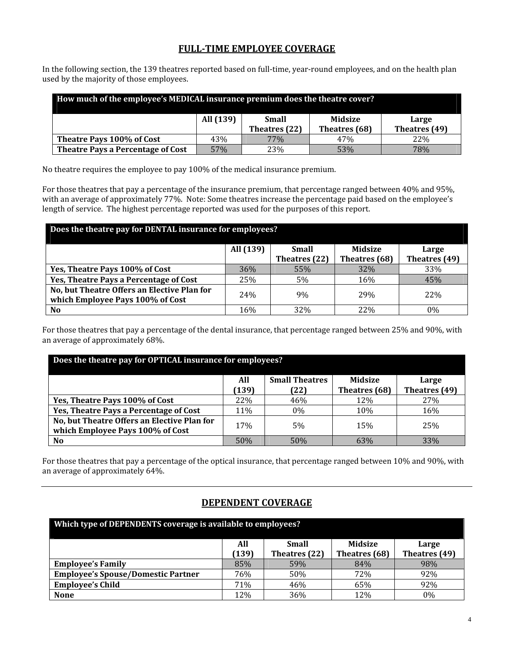### **FULL‐TIME EMPLOYEE COVERAGE**

In the following section, the 139 theatres reported based on full-time, year-round employees, and on the health plan used by the majority of those employees.

| How much of the employee's MEDICAL insurance premium does the theatre cover? |                                                 |  |  |  |  |  |  |  |
|------------------------------------------------------------------------------|-------------------------------------------------|--|--|--|--|--|--|--|
| All (139)<br>Small<br>Midsize<br>Large                                       |                                                 |  |  |  |  |  |  |  |
|                                                                              | Theatres (49)<br>Theatres (22)<br>Theatres (68) |  |  |  |  |  |  |  |
| Theatre Pays 100% of Cost<br>43%<br>77%<br>47%<br><b>22%</b>                 |                                                 |  |  |  |  |  |  |  |
| Theatre Pays a Percentage of Cost<br>23%<br>53%<br>57%<br>78%                |                                                 |  |  |  |  |  |  |  |

No theatre requires the employee to pay 100% of the medical insurance premium.

For those theatres that pay a percentage of the insurance premium, that percentage ranged between 40% and 95%, with an average of approximately 77%. Note: Some theatres increase the percentage paid based on the employee's length of service. The highest percentage reported was used for the purposes of this report.

| Does the theatre pay for DENTAL insurance for employees?                        |           |               |                |               |  |
|---------------------------------------------------------------------------------|-----------|---------------|----------------|---------------|--|
|                                                                                 | All (139) | <b>Small</b>  | <b>Midsize</b> | Large         |  |
|                                                                                 |           | Theatres (22) | Theatres (68)  | Theatres (49) |  |
| Yes, Theatre Pays 100% of Cost                                                  | 36%       | 55%           | 32%            | 33%           |  |
| Yes, Theatre Pays a Percentage of Cost                                          | 25%       | 5%            | 16%            | 45%           |  |
| No, but Theatre Offers an Elective Plan for<br>which Employee Pays 100% of Cost | 24%       | 9%            | 29%            | 22%           |  |
| N <sub>0</sub>                                                                  | 16%       | 32%           | 22%            | $0\%$         |  |

For those theatres that pay a percentage of the dental insurance, that percentage ranged between 25% and 90%, with an average of approximately 68%.

| Does the theatre pay for OPTICAL insurance for employees? |            |                       |                |               |  |  |
|-----------------------------------------------------------|------------|-----------------------|----------------|---------------|--|--|
|                                                           | All        | <b>Small Theatres</b> | <b>Midsize</b> | Large         |  |  |
|                                                           | (139)      | (22)                  | Theatres (68)  | Theatres (49) |  |  |
| Yes, Theatre Pays 100% of Cost                            | 22\%       | 46%                   | 12%            | 27%           |  |  |
| Yes, Theatre Pays a Percentage of Cost                    | 11\%       | 0%                    | 10%            | 16%           |  |  |
| No, but Theatre Offers an Elective Plan for               | <b>17%</b> | 5%                    | 15%            | 25%           |  |  |
| which Employee Pays 100% of Cost                          |            |                       |                |               |  |  |
| N <sub>0</sub>                                            | 50%        | 50%                   | 63%            | 33%           |  |  |

For those theatres that pay a percentage of the optical insurance, that percentage ranged between 10% and 90%, with an average of approximately 64%.

### **DEPENDENT COVERAGE**

| Which type of DEPENDENTS coverage is available to employees? |              |                               |                                 |                        |  |
|--------------------------------------------------------------|--------------|-------------------------------|---------------------------------|------------------------|--|
|                                                              | All<br>(139) | <b>Small</b><br>Theatres (22) | <b>Midsize</b><br>Theatres (68) | Large<br>Theatres (49) |  |
| <b>Employee's Family</b>                                     | 85%          | 59%                           | 84%                             | 98%                    |  |
| <b>Employee's Spouse/Domestic Partner</b>                    | 76%          | 50%                           | 72%                             | 92%                    |  |
| <b>Employee's Child</b>                                      | 71%          | 46%                           | 65%                             | 92%                    |  |
| <b>None</b>                                                  | 12%          | 36%                           | 12%                             | 0%                     |  |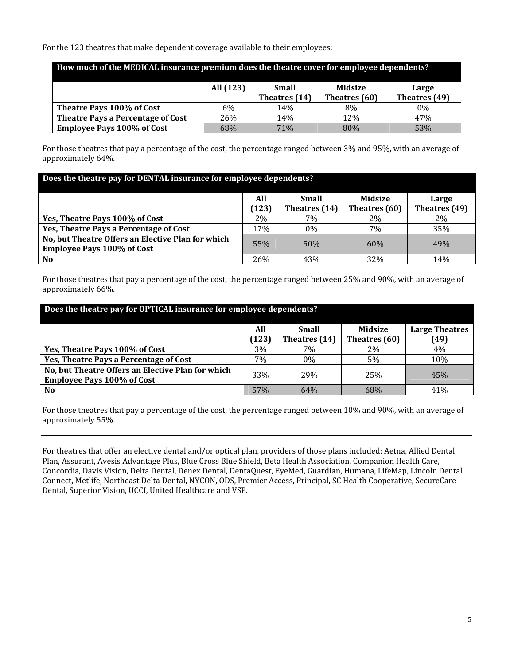For the 123 theatres that make dependent coverage available to their employees:

| How much of the MEDICAL insurance premium does the theatre cover for employee dependents? |     |               |               |               |  |  |
|-------------------------------------------------------------------------------------------|-----|---------------|---------------|---------------|--|--|
| All (123)<br>Midsize<br><b>Small</b><br>Large                                             |     |               |               |               |  |  |
|                                                                                           |     | Theatres (14) | Theatres (60) | Theatres (49) |  |  |
| Theatre Pays 100% of Cost                                                                 | 6%  | 14%           | 8%            | $0\%$         |  |  |
| <b>Theatre Pays a Percentage of Cost</b>                                                  | 26% | 14%           | 12%           | 47%           |  |  |
| <b>Employee Pays 100% of Cost</b>                                                         | 68% | 71%           | 80%           | 53%           |  |  |

For those theatres that pay a percentage of the cost, the percentage ranged between 3% and 95%, with an average of approximately 64%.

| Does the theatre pay for DENTAL insurance for employee dependents? |       |               |                |               |  |
|--------------------------------------------------------------------|-------|---------------|----------------|---------------|--|
|                                                                    | All   | <b>Small</b>  | <b>Midsize</b> | Large         |  |
|                                                                    | (123) | Theatres (14) | Theatres (60)  | Theatres (49) |  |
| Yes, Theatre Pays 100% of Cost                                     | $2\%$ | 7%            | 2%             | 2%            |  |
| Yes, Theatre Pays a Percentage of Cost                             | 17%   | $0\%$         | 7%             | 35%           |  |
| No, but Theatre Offers an Elective Plan for which                  | 55%   | 50%           | 60%            | 49%           |  |
| <b>Employee Pays 100% of Cost</b>                                  |       |               |                |               |  |
| N <sub>0</sub>                                                     | 26%   | 43%           | 32%            | 14%           |  |

For those theatres that pay a percentage of the cost, the percentage ranged between 25% and 90%, with an average of approximately 66%.

| Does the theatre pay for OPTICAL insurance for employee dependents?                    |       |               |                |                       |  |
|----------------------------------------------------------------------------------------|-------|---------------|----------------|-----------------------|--|
|                                                                                        | All   | Small         | <b>Midsize</b> | <b>Large Theatres</b> |  |
|                                                                                        | (123) | Theatres (14) | Theatres (60)  | (49)                  |  |
| Yes, Theatre Pays 100% of Cost                                                         | 3%    | 7%            | 2%             | 4%                    |  |
| Yes, Theatre Pays a Percentage of Cost                                                 | 7%    | 0%            | 5%             | 10%                   |  |
| No, but Theatre Offers an Elective Plan for which<br><b>Employee Pays 100% of Cost</b> | 33%   | 29%           | 25%            | 45%                   |  |
| N <sub>0</sub>                                                                         | 57%   | 64%           | 68%            | 41%                   |  |

For those theatres that pay a percentage of the cost, the percentage ranged between 10% and 90%, with an average of approximately 55%.

For theatres that offer an elective dental and/or optical plan, providers of those plans included: Aetna, Allied Dental Plan, Assurant, Avesis Advantage Plus, Blue Cross Blue Shield, Beta Health Association, Companion Health Care, Concordia, Davis Vision, Delta Dental, Denex Dental, DentaQuest, EyeMed, Guardian, Humana, LifeMap, Lincoln Dental Connect, Metlife, Northeast Delta Dental, NYCON, ODS, Premier Access, Principal, SC Health Cooperative, SecureCare Dental, Superior Vision, UCCI, United Healthcare and VSP.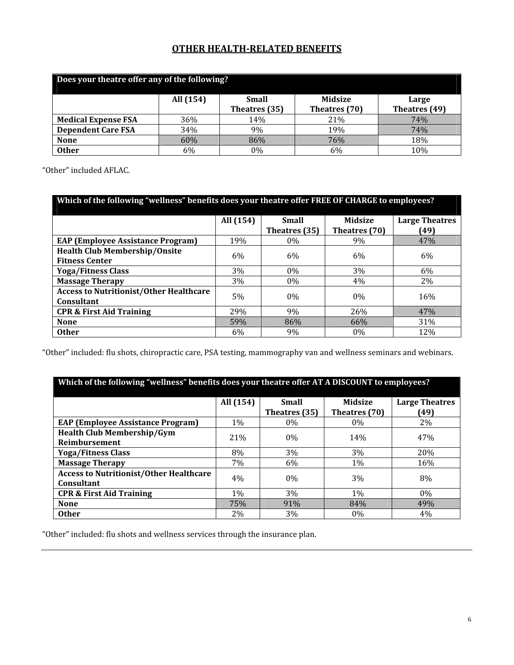## **OTHER HEALTH‐RELATED BENEFITS**

| Does your theatre offer any of the following? |           |                               |                                 |                        |  |
|-----------------------------------------------|-----------|-------------------------------|---------------------------------|------------------------|--|
|                                               | All (154) | <b>Small</b><br>Theatres (35) | <b>Midsize</b><br>Theatres (70) | Large<br>Theatres (49) |  |
| <b>Medical Expense FSA</b>                    | 36%       | 14%                           | 21%                             | 74%                    |  |
| <b>Dependent Care FSA</b>                     | 34%       | 9%                            | 19%                             | 74%                    |  |
| <b>None</b>                                   | 60%       | 86%                           | 76%                             | 18%                    |  |
| <b>Other</b>                                  | 6%        | 0%                            | 6%                              | 10%                    |  |

"Other" included AFLAC.

| Which of the following "wellness" benefits does your theatre offer FREE OF CHARGE to employees? |           |               |                |                       |  |
|-------------------------------------------------------------------------------------------------|-----------|---------------|----------------|-----------------------|--|
|                                                                                                 | All (154) | <b>Small</b>  | <b>Midsize</b> | <b>Large Theatres</b> |  |
|                                                                                                 |           | Theatres (35) | Theatres (70)  | (49)                  |  |
| <b>EAP (Employee Assistance Program)</b>                                                        | 19%       | $0\%$         | 9%             | 47%                   |  |
| <b>Health Club Membership/Onsite</b>                                                            | 6%        | 6%            | 6%             | 6%                    |  |
| <b>Fitness Center</b>                                                                           |           |               |                |                       |  |
| <b>Yoga/Fitness Class</b>                                                                       | 3%        | $0\%$         | 3%             | 6%                    |  |
| <b>Massage Therapy</b>                                                                          | 3%        | $0\%$         | 4%             | 2%                    |  |
| <b>Access to Nutritionist/Other Healthcare</b>                                                  | 5%        | 0%            | $0\%$          | 16%                   |  |
| Consultant                                                                                      |           |               |                |                       |  |
| <b>CPR &amp; First Aid Training</b>                                                             | 29%       | 9%            | 26%            | 47%                   |  |
| <b>None</b>                                                                                     | 59%       | 86%           | 66%            | 31%                   |  |
| <b>Other</b>                                                                                    | 6%        | 9%            | $0\%$          | 12%                   |  |

"Other" included: flu shots, chiropractic care, PSA testing, mammography van and wellness seminars and webinars.

## **Which of the following "wellness" benefits does your theatre offer AT A DISCOUNT to employees?**

|                                                | All (154) | Small         | <b>Midsize</b> | <b>Large Theatres</b> |
|------------------------------------------------|-----------|---------------|----------------|-----------------------|
|                                                |           | Theatres (35) | Theatres (70)  | (49)                  |
| <b>EAP (Employee Assistance Program)</b>       | $1\%$     | $0\%$         | 0%             | 2%                    |
| <b>Health Club Membership/Gym</b>              | 21%       | $0\%$         | 14%            | 47%                   |
| Reimbursement                                  |           |               |                |                       |
| <b>Yoga/Fitness Class</b>                      | 8%        | 3%            | 3%             | 20%                   |
| <b>Massage Therapy</b>                         | 7%        | 6%            | 1%             | 16%                   |
| <b>Access to Nutritionist/Other Healthcare</b> | 4%        | $0\%$         | 3%             | 8%                    |
| Consultant                                     |           |               |                |                       |
| <b>CPR &amp; First Aid Training</b>            | $1\%$     | 3%            | $1\%$          | 0%                    |
| <b>None</b>                                    | 75%       | 91%           | 84%            | 49%                   |
| <b>Other</b>                                   | 2%        | 3%            | 0%             | 4%                    |

"Other" included: flu shots and wellness services through the insurance plan.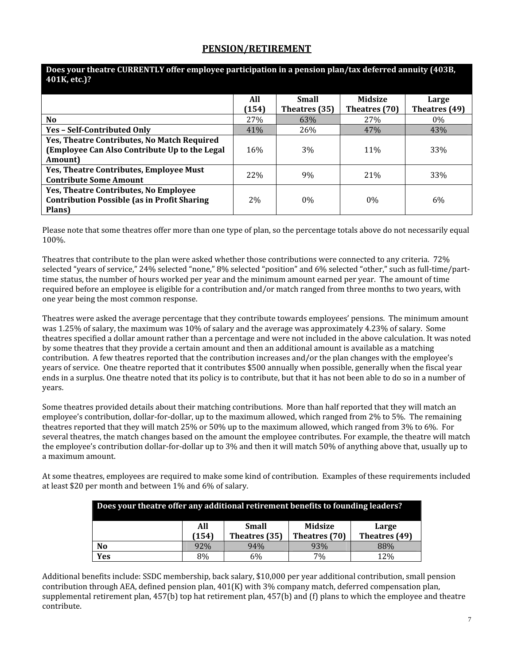#### **PENSION/RETIREMENT**

| Does your them e connent i'm oner employee participation in a pension plan, tax acteri cu annuncy (100D)<br>401K, etc.)? |              |                               |                          |                        |  |
|--------------------------------------------------------------------------------------------------------------------------|--------------|-------------------------------|--------------------------|------------------------|--|
|                                                                                                                          | All<br>(154) | <b>Small</b><br>Theatres (35) | Midsize<br>Theatres (70) | Large<br>Theatres (49) |  |
| No.                                                                                                                      | 27%          | 63%                           | 27%                      | $0\%$                  |  |
| <b>Yes - Self-Contributed Only</b>                                                                                       | 41%          | 26%                           | 47%                      | 43%                    |  |
| Yes, Theatre Contributes, No Match Required<br>(Employee Can Also Contribute Up to the Legal<br><b>Amount</b>            | 16%          | 3%                            | 11%                      | 33%                    |  |
| Yes, Theatre Contributes, Employee Must<br><b>Contribute Some Amount</b>                                                 | 22%          | 9%                            | 21%                      | 33%                    |  |
| <b>Yes, Theatre Contributes, No Employee</b><br><b>Contribution Possible (as in Profit Sharing)</b><br>Plans)            | $2\%$        | $0\%$                         | $0\%$                    | 6%                     |  |

# **Does your theatre CURRENTLY offer employee participation in a pension plan/tax deferred annuity (403B,**

Please note that some theatres offer more than one type of plan, so the percentage totals above do not necessarily equal 100%.

Theatres that contribute to the plan were asked whether those contributions were connected to any criteria. 72% selected "years of service," 24% selected "none," 8% selected "position" and 6% selected "other," such as full-time/parttime status, the number of hours worked per year and the minimum amount earned per year. The amount of time required before an employee is eligible for a contribution and/or match ranged from three months to two years, with one year being the most common response.

Theatres were asked the average percentage that they contribute towards employees' pensions. The minimum amount was 1.25% of salary, the maximum was 10% of salary and the average was approximately 4.23% of salary. Some theatres specified a dollar amount rather than a percentage and were not included in the above calculation. It was noted by some theatres that they provide a certain amount and then an additional amount is available as a matching contribution. A few theatres reported that the contribution increases and/or the plan changes with the employee's years of service. One theatre reported that it contributes \$500 annually when possible, generally when the fiscal year ends in a surplus. One theatre noted that its policy is to contribute, but that it has not been able to do so in a number of years.

Some theatres provided details about their matching contributions. More than half reported that they will match an employee's contribution, dollar-for-dollar, up to the maximum allowed, which ranged from 2% to 5%. The remaining theatres reported that they will match 25% or 50% up to the maximum allowed, which ranged from 3% to 6%. For several theatres, the match changes based on the amount the employee contributes. For example, the theatre will match the employee's contribution dollar‐for‐dollar up to 3% and then it will match 50% of anything above that, usually up to a maximum amount.

At some theatres, employees are required to make some kind of contribution. Examples of these requirements included at least \$20 per month and between 1% and 6% of salary.

| Does your theatre offer any additional retirement benefits to founding leaders? |              |                        |                          |                        |
|---------------------------------------------------------------------------------|--------------|------------------------|--------------------------|------------------------|
|                                                                                 | All<br>(154) | Small<br>Theatres (35) | Midsize<br>Theatres (70) | Large<br>Theatres (49) |
| N <sub>0</sub>                                                                  | 92%          | 94%                    | 93%                      | 88%                    |
| Yes                                                                             | 8%           | 6%                     | 7%                       | 12%                    |

Additional benefits include: SSDC membership, back salary, \$10,000 per year additional contribution, small pension contribution through AEA, defined pension plan, 401(K) with 3% company match, deferred compensation plan, supplemental retirement plan, 457(b) top hat retirement plan, 457(b) and (f) plans to which the employee and theatre contribute.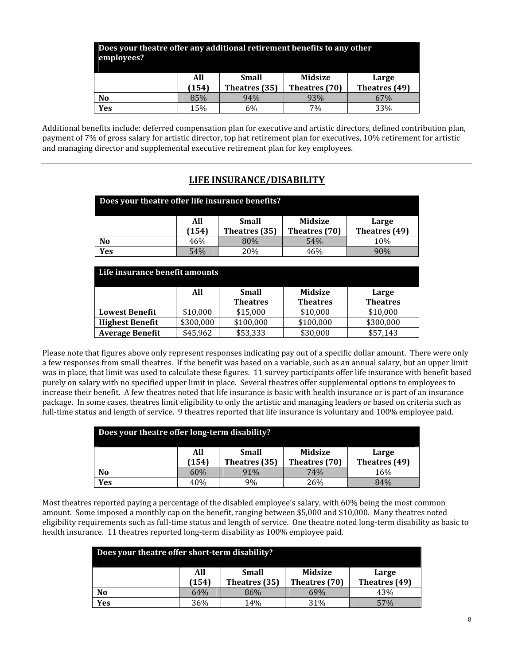| Does your theatre offer any additional retirement benefits to any other<br>employees? |              |                               |                                 |                        |
|---------------------------------------------------------------------------------------|--------------|-------------------------------|---------------------------------|------------------------|
|                                                                                       | All<br>(154) | <b>Small</b><br>Theatres (35) | <b>Midsize</b><br>Theatres (70) | Large<br>Theatres (49) |
| N <sub>0</sub>                                                                        | 85%          | 94%                           | 93%                             | 67%                    |
| Yes                                                                                   | 15%          | 6%                            | 7%                              | 33%                    |

Additional benefits include: deferred compensation plan for executive and artistic directors, defined contribution plan, payment of 7% of gross salary for artistic director, top hat retirement plan for executives, 10% retirement for artistic and managing director and supplemental executive retirement plan for key employees.

### **LIFE INSURANCE/DISABILITY**

| Does your theatre offer life insurance benefits? |              |                               |                          |                        |
|--------------------------------------------------|--------------|-------------------------------|--------------------------|------------------------|
|                                                  | All<br>(154) | <b>Small</b><br>Theatres (35) | Midsize<br>Theatres (70) | Large<br>Theatres (49) |
|                                                  |              |                               |                          |                        |
| N <sub>0</sub>                                   | 46%          | 80%                           | 54%                      | 10%                    |
| Yes                                              | 54%          | 20%                           | 46%                      | 90%                    |

| Life insurance benefit amounts |           |                 |                 |                 |
|--------------------------------|-----------|-----------------|-----------------|-----------------|
|                                | All       | <b>Small</b>    | <b>Midsize</b>  | Large           |
|                                |           | <b>Theatres</b> | <b>Theatres</b> | <b>Theatres</b> |
| <b>Lowest Benefit</b>          | \$10,000  | \$15,000        | \$10,000        | \$10,000        |
| <b>Highest Benefit</b>         | \$300,000 | \$100,000       | \$100,000       | \$300,000       |
| <b>Average Benefit</b>         | \$45,962  | \$53,333        | \$30,000        | \$57,143        |

Please note that figures above only represent responses indicating pay out of a specific dollar amount. There were only a few responses from small theatres. If the benefit was based on a variable, such as an annual salary, but an upper limit was in place, that limit was used to calculate these figures. 11 survey participants offer life insurance with benefit based purely on salary with no specified upper limit in place. Several theatres offer supplemental options to employees to increase their benefit. A few theatres noted that life insurance is basic with health insurance or is part of an insurance package. In some cases, theatres limit eligibility to only the artistic and managing leaders or based on criteria such as full-time status and length of service. 9 theatres reported that life insurance is voluntary and 100% employee paid.

| Does your theatre offer long-term disability? |              |                        |                                 |                        |
|-----------------------------------------------|--------------|------------------------|---------------------------------|------------------------|
|                                               | All<br>(154) | Small<br>Theatres (35) | <b>Midsize</b><br>Theatres (70) | Large<br>Theatres (49) |
| N <sub>0</sub>                                | 60%          | 91%                    | 74%                             | 16%                    |
| Yes                                           | 40%          | 9%                     | 26%                             | 84%                    |

Most theatres reported paying a percentage of the disabled employee's salary, with 60% being the most common amount. Some imposed a monthly cap on the benefit, ranging between \$5,000 and \$10,000. Many theatres noted eligibility requirements such as full-time status and length of service. One theatre noted long-term disability as basic to health insurance. 11 theatres reported long-term disability as 100% employee paid.

| Does your theatre offer short-term disability? |              |                               |                                 |                        |
|------------------------------------------------|--------------|-------------------------------|---------------------------------|------------------------|
|                                                | All<br>(154) | <b>Small</b><br>Theatres (35) | <b>Midsize</b><br>Theatres (70) | Large<br>Theatres (49) |
| N <sub>0</sub>                                 | 64%          | 86%                           | 69%                             | 43%                    |
| Yes                                            | 36%          | 14%                           | 31%                             | 57%                    |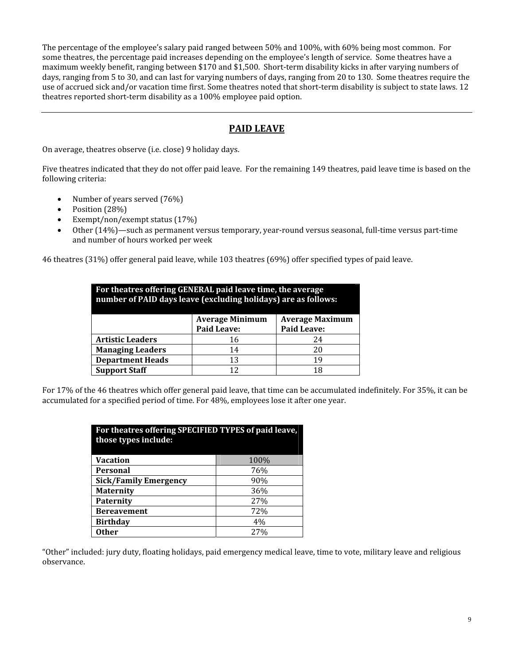The percentage of the employee's salary paid ranged between 50% and 100%, with 60% being most common. For some theatres, the percentage paid increases depending on the employee's length of service. Some theatres have a maximum weekly benefit, ranging between \$170 and \$1,500. Short-term disability kicks in after varying numbers of days, ranging from 5 to 30, and can last for varying numbers of days, ranging from 20 to 130. Some theatres require the use of accrued sick and/or vacation time first. Some theatres noted that short-term disability is subject to state laws. 12 theatres reported short‐term disability as a 100% employee paid option.

## **PAID LEAVE**

On average, theatres observe (i.e. close) 9 holiday days.

Five theatres indicated that they do not offer paid leave. For the remaining 149 theatres, paid leave time is based on the following criteria:

- Number of years served (76%)
- Position (28%)
- Exempt/non/exempt status (17%)
- Other (14%)—such as permanent versus temporary, year-round versus seasonal, full-time versus part-time and number of hours worked per week

46 theatres (31%) offer general paid leave, while 103 theatres (69%) offer specified types of paid leave.

| For theatres offering GENERAL paid leave time, the average<br>number of PAID days leave (excluding holidays) are as follows: |                        |                        |  |  |  |  |
|------------------------------------------------------------------------------------------------------------------------------|------------------------|------------------------|--|--|--|--|
|                                                                                                                              | <b>Average Minimum</b> | <b>Average Maximum</b> |  |  |  |  |
|                                                                                                                              | <b>Paid Leave:</b>     | <b>Paid Leave:</b>     |  |  |  |  |
| <b>Artistic Leaders</b>                                                                                                      | 16                     | 24                     |  |  |  |  |
| <b>Managing Leaders</b>                                                                                                      | 14                     | 20                     |  |  |  |  |
| <b>Department Heads</b>                                                                                                      | 13                     | 19                     |  |  |  |  |
| <b>Support Staff</b>                                                                                                         | 12                     | 18                     |  |  |  |  |

For 17% of the 46 theatres which offer general paid leave, that time can be accumulated indefinitely. For 35%, it can be accumulated for a specified period of time. For 48%, employees lose it after one year.

| For theatres offering SPECIFIED TYPES of paid leave,<br>those types include: |      |  |  |  |  |
|------------------------------------------------------------------------------|------|--|--|--|--|
| <b>Vacation</b>                                                              | 100% |  |  |  |  |
| <b>Personal</b>                                                              | 76%  |  |  |  |  |
| <b>Sick/Family Emergency</b>                                                 | 90%  |  |  |  |  |
| <b>Maternity</b>                                                             | 36%  |  |  |  |  |
| <b>Paternity</b>                                                             | 27%  |  |  |  |  |
| <b>Bereavement</b>                                                           | 72%  |  |  |  |  |
| <b>Birthday</b>                                                              | 4%   |  |  |  |  |
| <b>Other</b>                                                                 | 27%  |  |  |  |  |

"Other" included: jury duty, floating holidays, paid emergency medical leave, time to vote, military leave and religious observance.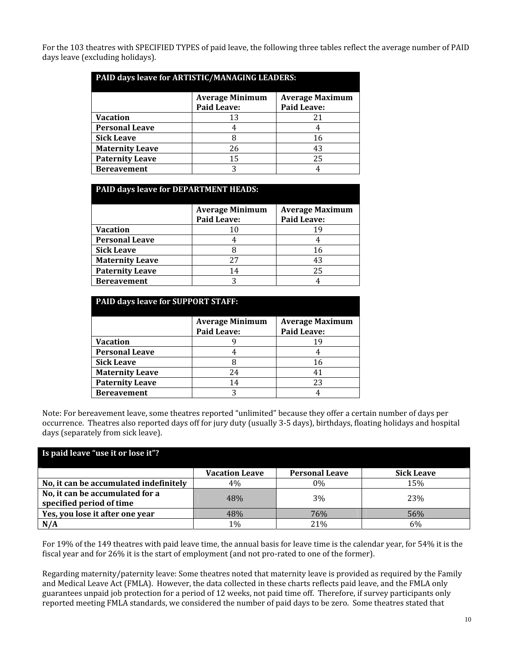For the 103 theatres with SPECIFIED TYPES of paid leave, the following three tables reflect the average number of PAID days leave (excluding holidays).

| PAID days leave for ARTISTIC/MANAGING LEADERS: |                                              |                                              |  |  |  |  |
|------------------------------------------------|----------------------------------------------|----------------------------------------------|--|--|--|--|
|                                                | <b>Average Minimum</b><br><b>Paid Leave:</b> | <b>Average Maximum</b><br><b>Paid Leave:</b> |  |  |  |  |
| <b>Vacation</b>                                | 13                                           | 21                                           |  |  |  |  |
| <b>Personal Leave</b>                          |                                              |                                              |  |  |  |  |
| <b>Sick Leave</b>                              |                                              | 16                                           |  |  |  |  |
| <b>Maternity Leave</b>                         | 26                                           | 43                                           |  |  |  |  |
| <b>Paternity Leave</b>                         | 15                                           | 25                                           |  |  |  |  |
| <b>Bereavement</b>                             | 3                                            |                                              |  |  |  |  |

| <b>PAID days leave for DEPARTMENT HEADS:</b> |                        |                        |  |  |  |  |
|----------------------------------------------|------------------------|------------------------|--|--|--|--|
|                                              | <b>Average Minimum</b> | <b>Average Maximum</b> |  |  |  |  |
|                                              | <b>Paid Leave:</b>     | <b>Paid Leave:</b>     |  |  |  |  |
| <b>Vacation</b>                              | 10                     | 19                     |  |  |  |  |
| <b>Personal Leave</b>                        |                        |                        |  |  |  |  |
| <b>Sick Leave</b>                            |                        | 16                     |  |  |  |  |
| <b>Maternity Leave</b>                       | 27                     | 43                     |  |  |  |  |
| <b>Paternity Leave</b>                       | 14                     | 25                     |  |  |  |  |
| <b>Bereavement</b>                           | 2                      |                        |  |  |  |  |

| <b>PAID days leave for SUPPORT STAFF:</b> |                                              |                                              |  |  |  |  |
|-------------------------------------------|----------------------------------------------|----------------------------------------------|--|--|--|--|
|                                           | <b>Average Minimum</b><br><b>Paid Leave:</b> | <b>Average Maximum</b><br><b>Paid Leave:</b> |  |  |  |  |
| <b>Vacation</b>                           |                                              | 19                                           |  |  |  |  |
| <b>Personal Leave</b>                     |                                              |                                              |  |  |  |  |
| <b>Sick Leave</b>                         |                                              | 16                                           |  |  |  |  |
| <b>Maternity Leave</b>                    | 24                                           | 41                                           |  |  |  |  |
| <b>Paternity Leave</b>                    | 14                                           | 23                                           |  |  |  |  |
| <b>Bereavement</b>                        |                                              |                                              |  |  |  |  |

Note: For bereavement leave, some theatres reported "unlimited" because they offer a certain number of days per occurrence. Theatres also reported days off for jury duty (usually 3‐5 days), birthdays, floating holidays and hospital days (separately from sick leave).

| Is paid leave "use it or lose it"?                          |                       |                       |                   |  |  |  |
|-------------------------------------------------------------|-----------------------|-----------------------|-------------------|--|--|--|
|                                                             | <b>Vacation Leave</b> | <b>Personal Leave</b> | <b>Sick Leave</b> |  |  |  |
| No, it can be accumulated indefinitely                      | 4%                    | 0%                    | 15%               |  |  |  |
| No, it can be accumulated for a<br>specified period of time | 48%                   | 3%                    | 23%               |  |  |  |
| Yes, you lose it after one year                             | 48%                   | 76%                   | 56%               |  |  |  |
| N/A                                                         | 1%                    | 21%                   | 6%                |  |  |  |

For 19% of the 149 theatres with paid leave time, the annual basis for leave time is the calendar year, for 54% it is the fiscal year and for 26% it is the start of employment (and not pro-rated to one of the former).

Regarding maternity/paternity leave: Some theatres noted that maternity leave is provided as required by the Family and Medical Leave Act (FMLA). However, the data collected in these charts reflects paid leave, and the FMLA only guarantees unpaid job protection for a period of 12 weeks, not paid time off. Therefore, if survey participants only reported meeting FMLA standards, we considered the number of paid days to be zero. Some theatres stated that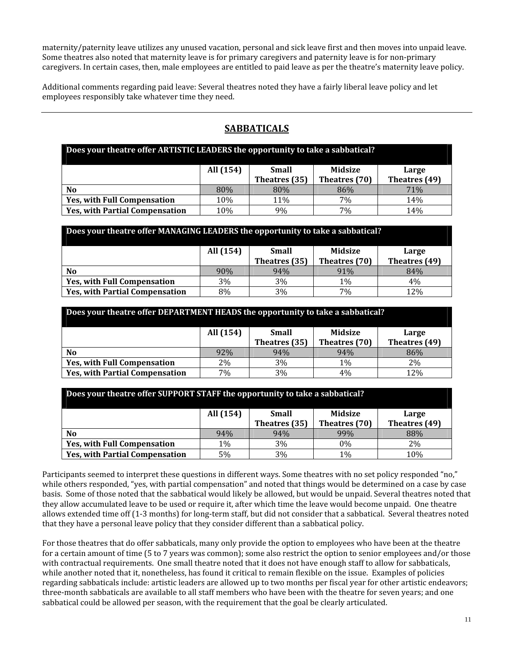maternity/paternity leave utilizes any unused vacation, personal and sick leave first and then moves into unpaid leave. Some theatres also noted that maternity leave is for primary caregivers and paternity leave is for non-primary caregivers. In certain cases, then, male employees are entitled to paid leave as per the theatre's maternity leave policy.

Additional comments regarding paid leave: Several theatres noted they have a fairly liberal leave policy and let employees responsibly take whatever time they need.

## **SABBATICALS**

| Does your theatre offer ARTISTIC LEADERS the opportunity to take a sabbatical? |           |               |                |               |
|--------------------------------------------------------------------------------|-----------|---------------|----------------|---------------|
|                                                                                | All (154) | <b>Small</b>  | <b>Midsize</b> | Large         |
|                                                                                |           | Theatres (35) | Theatres (70)  | Theatres (49) |
| N <sub>0</sub>                                                                 | 80%       | 80%           | 86%            | 71%           |
| <b>Yes, with Full Compensation</b>                                             | 10%       | 11%           | 7%             | 14%           |
| <b>Yes, with Partial Compensation</b>                                          | 10%       | 9%            | 7%             | 14%           |

| Does your theatre offer MANAGING LEADERS the opportunity to take a sabbatical? |     |               |               |               |  |
|--------------------------------------------------------------------------------|-----|---------------|---------------|---------------|--|
| All (154)<br>Midsize<br><b>Small</b><br>Large                                  |     |               |               |               |  |
|                                                                                |     | Theatres (35) | Theatres (70) | Theatres (49) |  |
| N <sub>o</sub>                                                                 | 90% | 94%           | 91%           | 84%           |  |
| <b>Yes, with Full Compensation</b>                                             | 3%  | 3%            | $1\%$         | 4%            |  |
| <b>Yes, with Partial Compensation</b>                                          | 8%  | 3%            | 7%            | 12%           |  |

| Does your theatre offer DEPARTMENT HEADS the opportunity to take a sabbatical? |           |               |                |               |
|--------------------------------------------------------------------------------|-----------|---------------|----------------|---------------|
|                                                                                | All (154) | <b>Small</b>  | <b>Midsize</b> | Large         |
|                                                                                |           | Theatres (35) | Theatres (70)  | Theatres (49) |
| N <sub>0</sub>                                                                 | 92%       | 94%           | 94%            | 86%           |
| <b>Yes, with Full Compensation</b>                                             | $2\%$     | 3%            | $1\%$          | 2%            |
| <b>Yes, with Partial Compensation</b>                                          | 7%        | 3%            | 4%             | 12%           |

| Does your meatre oner Support STAFF the opportunity to take a sabbatical? |           |               |                |               |
|---------------------------------------------------------------------------|-----------|---------------|----------------|---------------|
|                                                                           | All (154) | <b>Small</b>  | <b>Midsize</b> | Large         |
|                                                                           |           | Theatres (35) | Theatres (70)  | Theatres (49) |
| N <sub>0</sub>                                                            | 94%       | 94%           | 99%            | 88%           |
| <b>Yes, with Full Compensation</b>                                        | $1\%$     | $3\%$         | $0\%$          | 2%            |
| <b>Yes, with Partial Compensation</b>                                     | 5%        | 3%            | $1\%$          | 10%           |

**Does your theatre offer SUPPORT STAFF the opportunity to take a sabbatical?**

Participants seemed to interpret these questions in different ways. Some theatres with no set policy responded "no," while others responded, "yes, with partial compensation" and noted that things would be determined on a case by case basis. Some of those noted that the sabbatical would likely be allowed, but would be unpaid. Several theatres noted that they allow accumulated leave to be used or require it, after which time the leave would become unpaid. One theatre allows extended time off (1‐3 months) for long‐term staff, but did not consider that a sabbatical. Several theatres noted that they have a personal leave policy that they consider different than a sabbatical policy.

For those theatres that do offer sabbaticals, many only provide the option to employees who have been at the theatre for a certain amount of time (5 to 7 years was common); some also restrict the option to senior employees and/or those with contractual requirements. One small theatre noted that it does not have enough staff to allow for sabbaticals, while another noted that it, nonetheless, has found it critical to remain flexible on the issue. Examples of policies regarding sabbaticals include: artistic leaders are allowed up to two months per fiscal year for other artistic endeavors; three‐month sabbaticals are available to all staff members who have been with the theatre for seven years; and one sabbatical could be allowed per season, with the requirement that the goal be clearly articulated.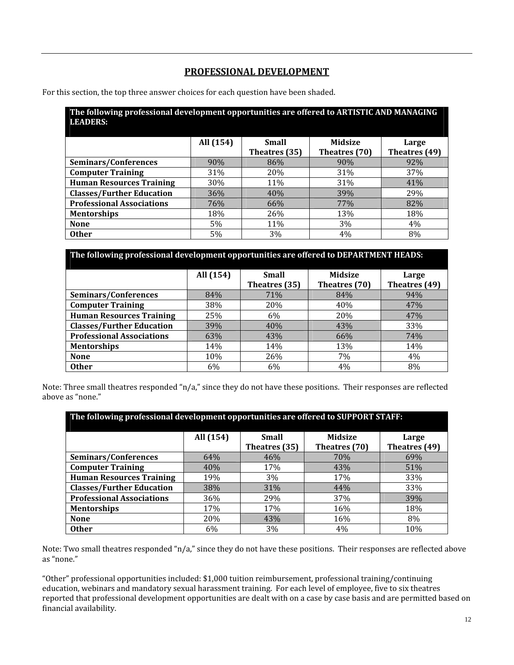## **PROFESSIONAL DEVELOPMENT**

For this section, the top three answer choices for each question have been shaded.

| The following professional development opportunities are offered to ARTISTIC AND MANAGING<br><b>LEADERS:</b> |           |                               |                                 |                        |  |
|--------------------------------------------------------------------------------------------------------------|-----------|-------------------------------|---------------------------------|------------------------|--|
|                                                                                                              | All (154) | <b>Small</b><br>Theatres (35) | <b>Midsize</b><br>Theatres (70) | Large<br>Theatres (49) |  |
| Seminars/Conferences                                                                                         | 90%       | 86%                           | 90%                             | 92%                    |  |
| <b>Computer Training</b>                                                                                     | 31%       | 20%                           | 31%                             | 37%                    |  |
| <b>Human Resources Training</b>                                                                              | 30%       | <b>11%</b>                    | 31%                             | 41%                    |  |
| <b>Classes/Further Education</b>                                                                             | 36%       | 40%                           | 39%                             | 29%                    |  |
| <b>Professional Associations</b>                                                                             | 76%       | 66%                           | 77%                             | 82%                    |  |
| <b>Mentorships</b>                                                                                           | 18%       | 26%                           | 13%                             | 18%                    |  |
| <b>None</b>                                                                                                  | 5%        | 11%                           | $3\%$                           | 4%                     |  |
| <b>Other</b>                                                                                                 | 5%        | 3%                            | 4%                              | 8%                     |  |

| The following professional development opportunities are offered to DEPARTMENT HEADS: |           |                               |                                 |                        |  |
|---------------------------------------------------------------------------------------|-----------|-------------------------------|---------------------------------|------------------------|--|
|                                                                                       | All (154) | <b>Small</b><br>Theatres (35) | <b>Midsize</b><br>Theatres (70) | Large<br>Theatres (49) |  |
| Seminars/Conferences                                                                  | 84%       | 71%                           | 84%                             | 94%                    |  |
| <b>Computer Training</b>                                                              | 38%       | 20%                           | 40%                             | 47%                    |  |
| <b>Human Resources Training</b>                                                       | 25%       | 6%                            | 20%                             | 47%                    |  |
| <b>Classes/Further Education</b>                                                      | 39%       | 40%                           | 43%                             | 33%                    |  |
| <b>Professional Associations</b>                                                      | 63%       | 43%                           | 66%                             | 74%                    |  |
| <b>Mentorships</b>                                                                    | 14%       | 14%                           | 13%                             | 14%                    |  |
| <b>None</b>                                                                           | 10%       | 26%                           | 7%                              | 4%                     |  |
| <b>Other</b>                                                                          | 6%        | 6%                            | 4%                              | 8%                     |  |

|                  | Note: Three small theatres responded "n/a," since they do not have these positions. Their responses are reflected |  |
|------------------|-------------------------------------------------------------------------------------------------------------------|--|
| above as "none." |                                                                                                                   |  |

| The following professional development opportunities are offered to SUPPORT STAFF: |           |               |                |               |  |  |  |
|------------------------------------------------------------------------------------|-----------|---------------|----------------|---------------|--|--|--|
|                                                                                    | All (154) | <b>Small</b>  | <b>Midsize</b> | Large         |  |  |  |
|                                                                                    |           | Theatres (35) | Theatres (70)  | Theatres (49) |  |  |  |
| Seminars/Conferences                                                               | 64%       | 46%           | 70%            | 69%           |  |  |  |
| <b>Computer Training</b>                                                           | 40%       | 17%           | 43%            | 51%           |  |  |  |
| <b>Human Resources Training</b>                                                    | 19%       | 3%            | 17%            | 33%           |  |  |  |
| <b>Classes/Further Education</b>                                                   | 38%       | 31%           | 44%            | 33%           |  |  |  |
| <b>Professional Associations</b>                                                   | 36%       | 29%           | 37%            | 39%           |  |  |  |
| <b>Mentorships</b>                                                                 | 17%       | 17%           | 16%            | 18%           |  |  |  |
| <b>None</b>                                                                        | 20%       | 43%           | 16%            | 8%            |  |  |  |
| <b>Other</b>                                                                       | 6%        | 3%            | 4%             | 10%           |  |  |  |

Note: Two small theatres responded "n/a," since they do not have these positions. Their responses are reflected above as "none."

"Other" professional opportunities included: \$1,000 tuition reimbursement, professional training/continuing education, webinars and mandatory sexual harassment training. For each level of employee, five to six theatres reported that professional development opportunities are dealt with on a case by case basis and are permitted based on financial availability.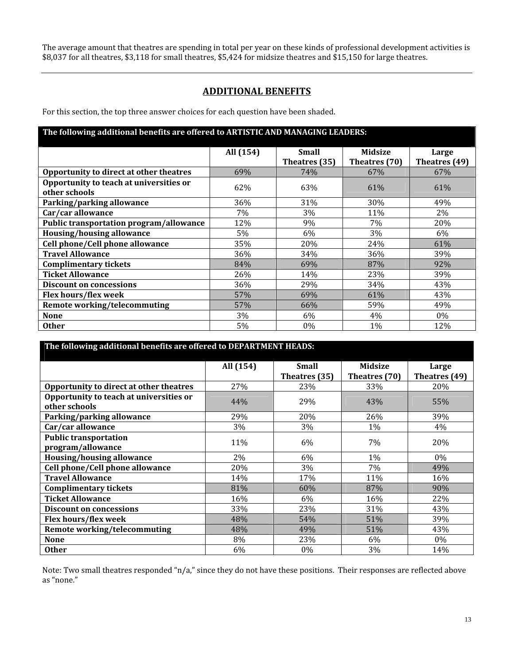The average amount that theatres are spending in total per year on these kinds of professional development activities is \$8,037 for all theatres, \$3,118 for small theatres, \$5,424 for midsize theatres and \$15,150 for large theatres.

### **ADDITIONAL BENEFITS**

For this section, the top three answer choices for each question have been shaded.

| The following additional benefits are offered to ARTISTIC AND MANAGING LEADERS: |           |                               |                                 |                        |  |
|---------------------------------------------------------------------------------|-----------|-------------------------------|---------------------------------|------------------------|--|
|                                                                                 | All (154) | <b>Small</b><br>Theatres (35) | <b>Midsize</b><br>Theatres (70) | Large<br>Theatres (49) |  |
| Opportunity to direct at other theatres                                         | 69%       | 74%                           | 67%                             | 67%                    |  |
| Opportunity to teach at universities or<br>other schools                        | 62%       | 63%                           | 61%                             | 61%                    |  |
| Parking/parking allowance                                                       | 36%       | 31%                           | 30%                             | 49%                    |  |
| Car/car allowance                                                               | 7%        | 3%                            | 11%                             | 2%                     |  |
| <b>Public transportation program/allowance</b>                                  | 12%       | 9%                            | 7%                              | 20%                    |  |
| Housing/housing allowance                                                       | 5%        | 6%                            | 3%                              | $6\%$                  |  |
| Cell phone/Cell phone allowance                                                 | 35%       | 20%                           | 24%                             | 61%                    |  |
| <b>Travel Allowance</b>                                                         | 36%       | 34%                           | 36%                             | 39%                    |  |
| <b>Complimentary tickets</b>                                                    | 84%       | 69%                           | 87%                             | 92%                    |  |
| <b>Ticket Allowance</b>                                                         | 26%       | 14%                           | 23%                             | 39%                    |  |
| <b>Discount on concessions</b>                                                  | 36%       | 29%                           | 34%                             | 43%                    |  |
| Flex hours/flex week                                                            | 57%       | 69%                           | 61%                             | 43%                    |  |
| <b>Remote working/telecommuting</b>                                             | 57%       | 66%                           | 59%                             | 49%                    |  |
| <b>None</b>                                                                     | 3%        | $6\%$                         | 4%                              | $0\%$                  |  |
| <b>Other</b>                                                                    | 5%        | 0%                            | 1%                              | 12%                    |  |

| The following additional benefits are offered to DEPARTMENT HEADS: |           |                               |                                 |                        |  |
|--------------------------------------------------------------------|-----------|-------------------------------|---------------------------------|------------------------|--|
|                                                                    | All (154) | <b>Small</b><br>Theatres (35) | <b>Midsize</b><br>Theatres (70) | Large<br>Theatres (49) |  |
| Opportunity to direct at other theatres                            | 27%       | 23%                           | 33%                             | 20%                    |  |
| Opportunity to teach at universities or<br>other schools           | 44%       | 29%                           | 43%                             | 55%                    |  |
| Parking/parking allowance                                          | 29%       | 20%                           | 26%                             | 39%                    |  |
| Car/car allowance                                                  | 3%        | 3%                            | 1%                              | 4%                     |  |
| <b>Public transportation</b><br>program/allowance                  | 11%       | 6%                            | 7%                              | 20%                    |  |
| Housing/housing allowance                                          | 2%        | $6\%$                         | 1%                              | $0\%$                  |  |
| Cell phone/Cell phone allowance                                    | 20%       | 3%                            | 7%                              | 49%                    |  |
| <b>Travel Allowance</b>                                            | 14%       | 17%                           | 11%                             | 16%                    |  |
| <b>Complimentary tickets</b>                                       | 81%       | 60%                           | 87%                             | 90%                    |  |
| <b>Ticket Allowance</b>                                            | 16%       | 6%                            | 16%                             | 22%                    |  |
| <b>Discount on concessions</b>                                     | 33%       | 23%                           | 31%                             | 43%                    |  |
| Flex hours/flex week                                               | 48%       | 54%                           | 51%                             | 39%                    |  |
| <b>Remote working/telecommuting</b>                                | 48%       | 49%                           | 51%                             | 43%                    |  |
| <b>None</b>                                                        | 8%        | 23%                           | 6%                              | 0%                     |  |
| <b>Other</b>                                                       | 6%        | 0%                            | 3%                              | 14%                    |  |

Note: Two small theatres responded "n/a," since they do not have these positions. Their responses are reflected above as "none."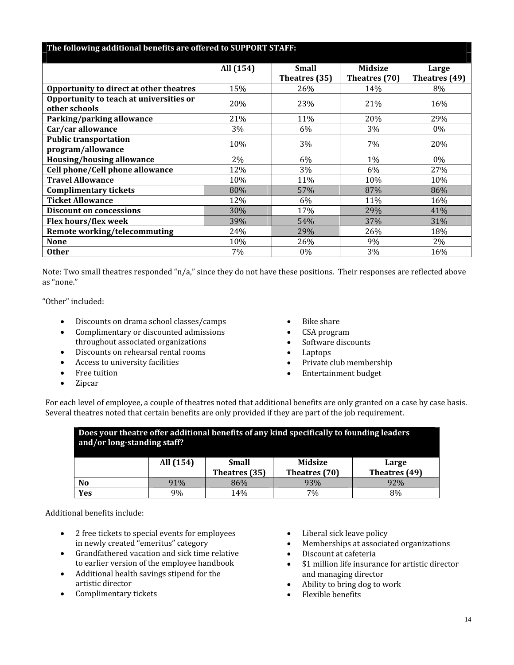| The following additional benefits are offered to SUPPORT STAFF: |           |                               |                                 |                        |  |
|-----------------------------------------------------------------|-----------|-------------------------------|---------------------------------|------------------------|--|
|                                                                 | All (154) | <b>Small</b><br>Theatres (35) | <b>Midsize</b><br>Theatres (70) | Large<br>Theatres (49) |  |
| Opportunity to direct at other theatres                         | 15%       | 26%                           | 14%                             | 8%                     |  |
| Opportunity to teach at universities or<br>other schools        | 20%       | 23%                           | 21%                             | 16%                    |  |
| Parking/parking allowance                                       | 21%       | 11%                           | 20%                             | 29%                    |  |
| Car/car allowance                                               | 3%        | 6%                            | 3%                              | $0\%$                  |  |
| <b>Public transportation</b><br>program/allowance               | 10%       | 3%                            | 7%                              | 20%                    |  |
| <b>Housing/housing allowance</b>                                | 2%        | 6%                            | 1%                              | $0\%$                  |  |
| Cell phone/Cell phone allowance                                 | 12%       | 3%                            | 6%                              | 27%                    |  |
| <b>Travel Allowance</b>                                         | 10%       | 11%                           | 10%                             | 10%                    |  |
| <b>Complimentary tickets</b>                                    | 80%       | 57%                           | 87%                             | 86%                    |  |
| <b>Ticket Allowance</b>                                         | 12%       | 6%                            | 11%                             | 16%                    |  |
| <b>Discount on concessions</b>                                  | 30%       | 17%                           | 29%                             | 41%                    |  |
| Flex hours/flex week                                            | 39%       | 54%                           | 37%                             | 31%                    |  |
| <b>Remote working/telecommuting</b>                             | 24%       | 29%                           | 26%                             | 18%                    |  |
| <b>None</b>                                                     | 10%       | 26%                           | 9%                              | 2%                     |  |
| <b>Other</b>                                                    | 7%        | $0\%$                         | 3%                              | 16%                    |  |

Note: Two small theatres responded "n/a," since they do not have these positions. Their responses are reflected above as "none."

"Other" included:

- Discounts on drama school classes/camps
- Complimentary or discounted admissions throughout associated organizations
- Discounts on rehearsal rental rooms
- Access to university facilities
- Free tuition
- Zipcar
- Bike share
- CSA program
- Software discounts
- Laptops
- Private club membership
- Entertainment budget

For each level of employee, a couple of theatres noted that additional benefits are only granted on a case by case basis. Several theatres noted that certain benefits are only provided if they are part of the job requirement.

| Does your theatre offer additional benefits of any kind specifically to founding leaders<br>and/or long-standing staff? |                                                      |     |     |     |  |
|-------------------------------------------------------------------------------------------------------------------------|------------------------------------------------------|-----|-----|-----|--|
|                                                                                                                         | <b>Midsize</b><br>All (154)<br><b>Small</b><br>Large |     |     |     |  |
|                                                                                                                         | Theatres (49)<br>Theatres (35)<br>Theatres (70)      |     |     |     |  |
| N <sub>0</sub>                                                                                                          | 91%                                                  | 86% | 93% | 92% |  |
| Yes                                                                                                                     | 9%                                                   | 14% | 7%  | 8%  |  |

Additional benefits include:

- 2 free tickets to special events for employees in newly created "emeritus" category
- Grandfathered vacation and sick time relative to earlier version of the employee handbook
- Additional health savings stipend for the artistic director
- Complimentary tickets
- Liberal sick leave policy
- Memberships at associated organizations
- Discount at cafeteria
- \$1 million life insurance for artistic director and managing director
- Ability to bring dog to work
- Flexible benefits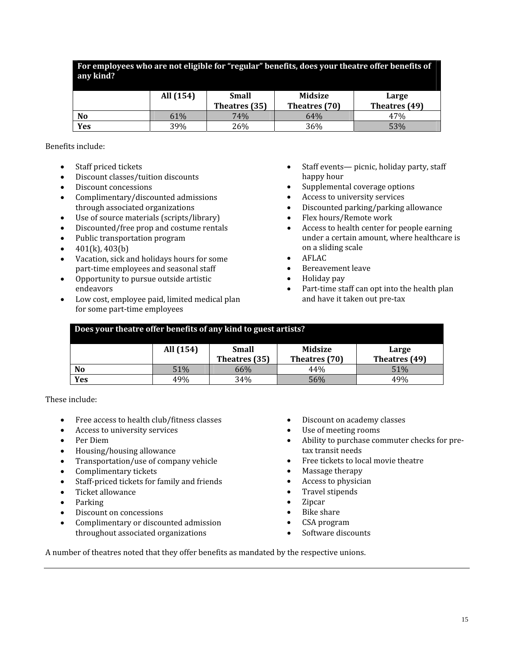| For employees who are not eligible for "regular" benefits, does your theatre offer benefits of<br>any kind? |           |               |                |               |  |
|-------------------------------------------------------------------------------------------------------------|-----------|---------------|----------------|---------------|--|
|                                                                                                             | All (154) | <b>Small</b>  | <b>Midsize</b> | Large         |  |
|                                                                                                             |           | Theatres (35) | Theatres (70)  | Theatres (49) |  |
| <b>No</b>                                                                                                   | 61%       | 74%           | 64%            | 47%           |  |
| Yes                                                                                                         | 39%       | 26%           | 36%            | 53%           |  |

Benefits include:

- Staff priced tickets
- Discount classes/tuition discounts
- Discount concessions
- Complimentary/discounted admissions through associated organizations
- Use of source materials (scripts/library)
- Discounted/free prop and costume rentals
- Public transportation program
- 401(k), 403(b)
- Vacation, sick and holidays hours for some part‐time employees and seasonal staff
- Opportunity to pursue outside artistic endeavors
- Low cost, employee paid, limited medical plan for some part‐time employees
- Staff events— picnic, holiday party, staff happy hour
- Supplemental coverage options
- Access to university services
- Discounted parking/parking allowance
- Flex hours/Remote work
- Access to health center for people earning under a certain amount, where healthcare is on a sliding scale
- AFLAC
- Bereavement leave
- Holiday pay
- Part-time staff can opt into the health plan and have it taken out pre‐tax

| Does your theatre offer benefits of any kind to guest artists? |           |                               |                          |                        |
|----------------------------------------------------------------|-----------|-------------------------------|--------------------------|------------------------|
|                                                                | All (154) | <b>Small</b><br>Theatres (35) | Midsize<br>Theatres (70) | Large<br>Theatres (49) |
| N <sub>0</sub>                                                 | 51%       | 66%                           | 44%                      | 51%                    |
| Yes                                                            | 49%       | 34%                           | 56%                      | 49%                    |

These include:

- Free access to health club/fitness classes
- Access to university services
- Per Diem
- Housing/housing allowance
- Transportation/use of company vehicle
- Complimentary tickets
- Staff-priced tickets for family and friends
- Ticket allowance
- Parking
- Discount on concessions
- Complimentary or discounted admission throughout associated organizations
- Discount on academy classes
- Use of meeting rooms
- Ability to purchase commuter checks for pre‐ tax transit needs
- Free tickets to local movie theatre
- Massage therapy
- Access to physician
- Travel stipends
- Zipcar
- Bike share
- CSA program
- Software discounts

A number of theatres noted that they offer benefits as mandated by the respective unions.